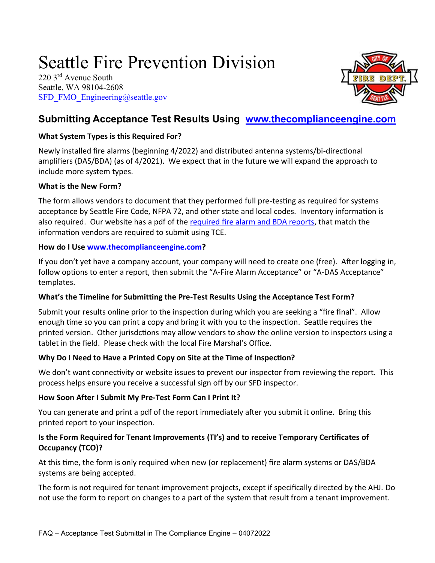# Seattle Fire Prevention Division

220 3rd Avenue South Seattle, WA 98104-2608 [SFD\\_FMO\\_Engineering@seattle.gov](mailto:SFD_FMO_Engineering@seattle.gov)



# **Submitting Acceptance Test Results Using [www.thecomplianceengine.com](http://www.thecomplianceengine.com/)**

# **What System Types is this Required For?**

Newly installed fire alarms (beginning 4/2022) and distributed antenna systems/bi-directional amplifiers (DAS/BDA) (as of 4/2021). We expect that in the future we will expand the approach to include more system types.

#### **What is the New Form?**

The form allows vendors to document that they performed full pre-testing as required for systems acceptance by Seattle Fire Code, NFPA 72, and other state and local codes. Inventory information is also required. Our website has a pdf of the [required fire alarm and BDA reports,](http://www.seattle.gov/fire/business-services/systems-testing#systemstestingforms) that match the information vendors are required to submit using TCE.

## **How do I Use [www.thecomplianceengine.com?](http://www.thecomplianceengine.com/)**

If you don't yet have a company account, your company will need to create one (free). After logging in, follow options to enter a report, then submit the "A-Fire Alarm Acceptance" or "A-DAS Acceptance" templates.

# **What's the Timeline for Submitting the Pre-Test Results Using the Acceptance Test Form?**

Submit your results online prior to the inspection during which you are seeking a "fire final". Allow enough time so you can print a copy and bring it with you to the inspection. Seattle requires the printed version. Other jurisdctions may allow vendors to show the online version to inspectors using a tablet in the field. Please check with the local Fire Marshal's Office.

# **Why Do I Need to Have a Printed Copy on Site at the Time of Inspection?**

We don't want connectivity or website issues to prevent our inspector from reviewing the report. This process helps ensure you receive a successful sign off by our SFD inspector.

# **How Soon After I Submit My Pre-Test Form Can I Print It?**

You can generate and print a pdf of the report immediately after you submit it online. Bring this printed report to your inspection.

## **Is the Form Required for Tenant Improvements (TI's) and to receive Temporary Certificates of Occupancy (TCO)?**

At this time, the form is only required when new (or replacement) fire alarm systems or DAS/BDA systems are being accepted.

The form is not required for tenant improvement projects, except if specifically directed by the AHJ. Do not use the form to report on changes to a part of the system that result from a tenant improvement.